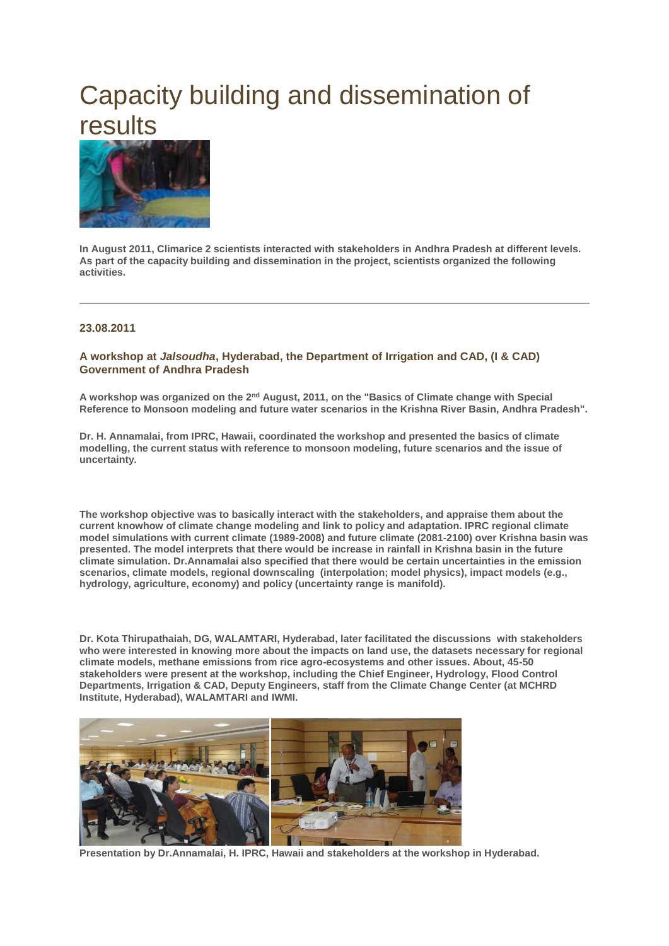# Capacity building and dissemination of results



**In August 2011, Climarice 2 scientists interacted with stakeholders in Andhra Pradesh at different levels. As part of the capacity building and dissemination in the project, scientists organized the following activities.**

### **23.08.2011**

### **A workshop at** *Jalsoudha***, Hyderabad, the Department of Irrigation and CAD, (I & CAD) Government of Andhra Pradesh**

**A workshop was organized on the 2nd August, 2011, on the "Basics of Climate change with Special Reference to Monsoon modeling and future water scenarios in the Krishna River Basin, Andhra Pradesh".**

**Dr. H. Annamalai, from IPRC, Hawaii, coordinated the workshop and presented the basics of climate modelling, the current status with reference to monsoon modeling, future scenarios and the issue of uncertainty.**

**The workshop objective was to basically interact with the stakeholders, and appraise them about the current knowhow of climate change modeling and link to policy and adaptation. IPRC regional climate model simulations with current climate (1989-2008) and future climate (2081-2100) over Krishna basin was presented. The model interprets that there would be increase in rainfall in Krishna basin in the future climate simulation. Dr.Annamalai also specified that there would be certain uncertainties in the emission scenarios, climate models, regional downscaling (interpolation; model physics), impact models (e.g., hydrology, agriculture, economy) and policy (uncertainty range is manifold).**

**Dr. Kota Thirupathaiah, DG, WALAMTARI, Hyderabad, later facilitated the discussions with stakeholders who were interested in knowing more about the impacts on land use, the datasets necessary for regional climate models, methane emissions from rice agro-ecosystems and other issues. About, 45-50 stakeholders were present at the workshop, including the Chief Engineer, Hydrology, Flood Control Departments, Irrigation & CAD, Deputy Engineers, staff from the Climate Change Center (at MCHRD Institute, Hyderabad), WALAMTARI and IWMI.**



**Presentation by Dr.Annamalai, H. IPRC, Hawaii and stakeholders at the workshop in Hyderabad.**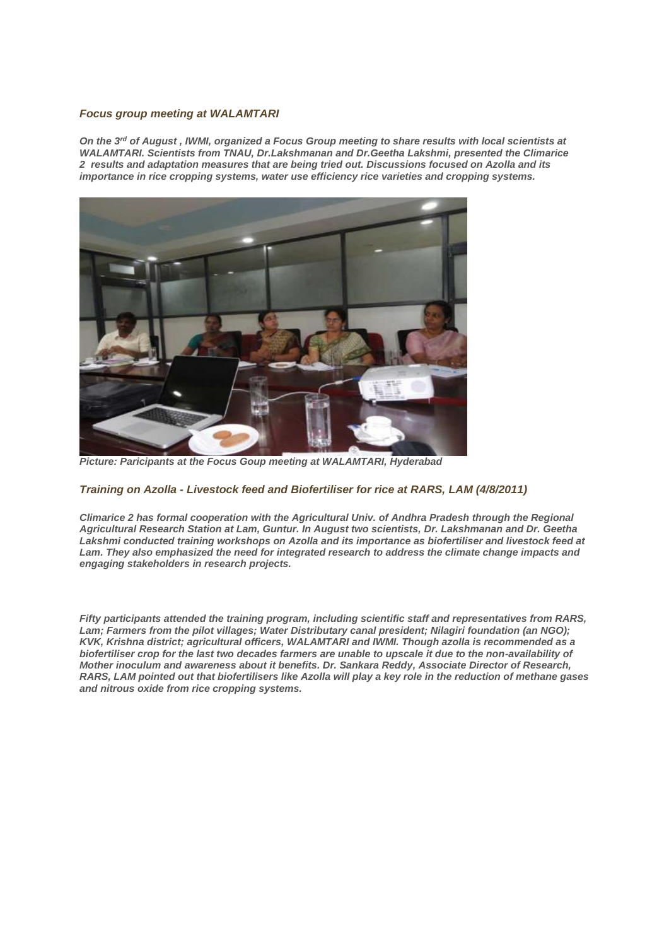#### *Focus group meeting at WALAMTARI*

*On the 3rd of August , IWMI, organized a Focus Group meeting to share results with local scientists at WALAMTARI. Scientists from TNAU, Dr.Lakshmanan and Dr.Geetha Lakshmi, presented the Climarice 2 results and adaptation measures that are being tried out. Discussions focused on Azolla and its importance in rice cropping systems, water use efficiency rice varieties and cropping systems.*



*Picture: Paricipants at the Focus Goup meeting at WALAMTARI, Hyderabad*

## *Training on Azolla - Livestock feed and Biofertiliser for rice at RARS, LAM (4/8/2011)*

*Climarice 2 has formal cooperation with the Agricultural Univ. of Andhra Pradesh through the Regional Agricultural Research Station at Lam, Guntur. In August two scientists, Dr. Lakshmanan and Dr. Geetha Lakshmi conducted training workshops on Azolla and its importance as biofertiliser and livestock feed at*  Lam. They also emphasized the need for integrated research to address the climate change impacts and *engaging stakeholders in research projects.*

*Fifty participants attended the training program, including scientific staff and representatives from RARS, Lam; Farmers from the pilot villages; Water Distributary canal president; Nilagiri foundation (an NGO); KVK, Krishna district; agricultural officers, WALAMTARI and IWMI. Though azolla is recommended as a biofertiliser crop for the last two decades farmers are unable to upscale it due to the non-availability of Mother inoculum and awareness about it benefits. Dr. Sankara Reddy, Associate Director of Research, RARS, LAM pointed out that biofertilisers like Azolla will play a key role in the reduction of methane gases and nitrous oxide from rice cropping systems.*